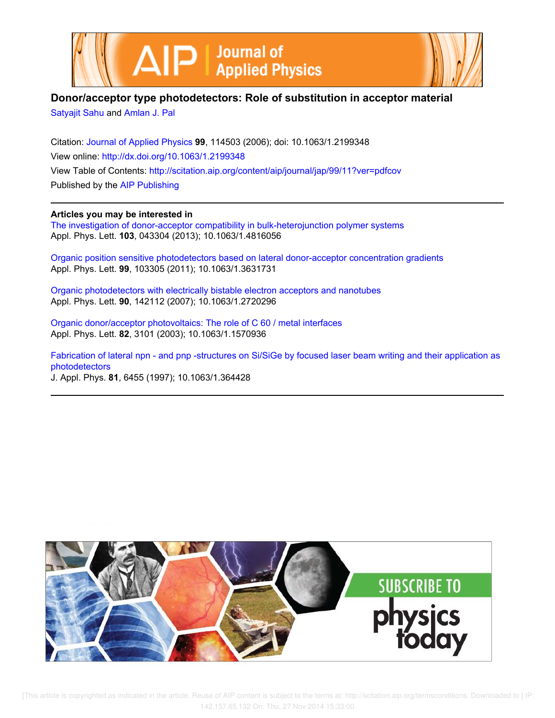



## **Donor/acceptor type photodetectors: Role of substitution in acceptor material**

Satyajit Sahu and Amlan J. Pal

Citation: Journal of Applied Physics **99**, 114503 (2006); doi: 10.1063/1.2199348 View online: http://dx.doi.org/10.1063/1.2199348 View Table of Contents: http://scitation.aip.org/content/aip/journal/jap/99/11?ver=pdfcov Published by the AIP Publishing

**Articles you may be interested in**

The investigation of donor-acceptor compatibility in bulk-heterojunction polymer systems Appl. Phys. Lett. **103**, 043304 (2013); 10.1063/1.4816056

Organic position sensitive photodetectors based on lateral donor-acceptor concentration gradients Appl. Phys. Lett. **99**, 103305 (2011); 10.1063/1.3631731

Organic photodetectors with electrically bistable electron acceptors and nanotubes Appl. Phys. Lett. **90**, 142112 (2007); 10.1063/1.2720296

Organic donor/acceptor photovoltaics: The role of C 60 / metal interfaces Appl. Phys. Lett. **82**, 3101 (2003); 10.1063/1.1570936

Fabrication of lateral npn - and pnp -structures on Si/SiGe by focused laser beam writing and their application as photodetectors J. Appl. Phys. **81**, 6455 (1997); 10.1063/1.364428

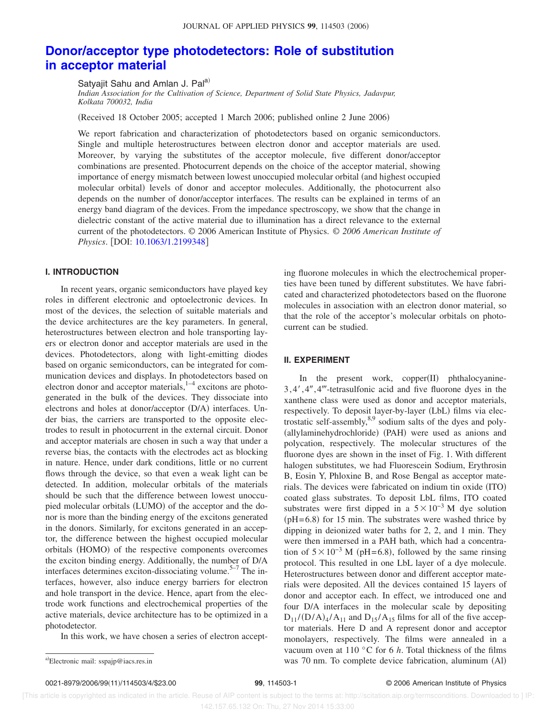# **Donor/acceptor type photodetectors: Role of substitution in acceptor material**

Satyajit Sahu and Amlan J. Pal<sup>a)</sup>

*Indian Association for the Cultivation of Science, Department of Solid State Physics, Jadavpur, Kolkata 700032, India*

(Received 18 October 2005; accepted 1 March 2006; published online 2 June 2006)

We report fabrication and characterization of photodetectors based on organic semiconductors. Single and multiple heterostructures between electron donor and acceptor materials are used. Moreover, by varying the substitutes of the acceptor molecule, five different donor/acceptor combinations are presented. Photocurrent depends on the choice of the acceptor material, showing importance of energy mismatch between lowest unoccupied molecular orbital (and highest occupied molecular orbital) levels of donor and acceptor molecules. Additionally, the photocurrent also depends on the number of donor/acceptor interfaces. The results can be explained in terms of an energy band diagram of the devices. From the impedance spectroscopy, we show that the change in dielectric constant of the active material due to illumination has a direct relevance to the external current of the photodetectors. © 2006 American Institute of Physics. © *2006 American Institute of Physics.* [DOI: 10.1063/1.2199348]

## **I. INTRODUCTION**

In recent years, organic semiconductors have played key roles in different electronic and optoelectronic devices. In most of the devices, the selection of suitable materials and the device architectures are the key parameters. In general, heterostructures between electron and hole transporting layers or electron donor and acceptor materials are used in the devices. Photodetectors, along with light-emitting diodes based on organic semiconductors, can be integrated for communication devices and displays. In photodetectors based on electron donor and acceptor materials, $1-4$  excitons are photogenerated in the bulk of the devices. They dissociate into electrons and holes at donor/acceptor (D/A) interfaces. Under bias, the carriers are transported to the opposite electrodes to result in photocurrent in the external circuit. Donor and acceptor materials are chosen in such a way that under a reverse bias, the contacts with the electrodes act as blocking in nature. Hence, under dark conditions, little or no current flows through the device, so that even a weak light can be detected. In addition, molecular orbitals of the materials should be such that the difference between lowest unoccupied molecular orbitals (LUMO) of the acceptor and the donor is more than the binding energy of the excitons generated in the donors. Similarly, for excitons generated in an acceptor, the difference between the highest occupied molecular orbitals (HOMO) of the respective components overcomes the exciton binding energy. Additionally, the number of D/A interfaces determines exciton-dissociating volume.<sup> $5-7$ </sup> The interfaces, however, also induce energy barriers for electron and hole transport in the device. Hence, apart from the electrode work functions and electrochemical properties of the active materials, device architecture has to be optimized in a photodetector.

In this work, we have chosen a series of electron accept-

0021-8979/2006/9911/114503/4/\$23.00 **99**, 114503-1 © 2006 American Institute of Physics

ing fluorone molecules in which the electrochemical properties have been tuned by different substitutes. We have fabricated and characterized photodetectors based on the fluorone molecules in association with an electron donor material, so that the role of the acceptor's molecular orbitals on photocurrent can be studied.

### **II. EXPERIMENT**

In the present work,  $copper(II)$  phthalocyanine-3, 4', 4", 4"'-tetrasulfonic acid and five fluorone dyes in the xanthene class were used as donor and acceptor materials, respectively. To deposit layer-by-layer (LbL) films via electrostatic self-assembly,8,9 sodium salts of the dyes and poly- (allylaminehydrochloride) (PAH) were used as anions and polycation, respectively. The molecular structures of the fluorone dyes are shown in the inset of Fig. 1. With different halogen substitutes, we had Fluorescein Sodium, Erythrosin B, Eosin Y, Phloxine B, and Rose Bengal as acceptor materials. The devices were fabricated on indium tin oxide (ITO) coated glass substrates. To deposit LbL films, ITO coated substrates were first dipped in a  $5 \times 10^{-3}$  M dye solution  $pH=6.8$ ) for 15 min. The substrates were washed thrice by dipping in deionized water baths for 2, 2, and 1 min. They were then immersed in a PAH bath, which had a concentration of  $5 \times 10^{-3}$  M (pH=6.8), followed by the same rinsing protocol. This resulted in one LbL layer of a dye molecule. Heterostructures between donor and different acceptor materials were deposited. All the devices contained 15 layers of donor and acceptor each. In effect, we introduced one and four D/A interfaces in the molecular scale by depositing  $D_{11}/(D/A)_{4}/A_{11}$  and  $D_{15}/A_{15}$  films for all of the five acceptor materials. Here D and A represent donor and acceptor monolayers, respectively. The films were annealed in a vacuum oven at 110 °C for 6 *h*. Total thickness of the films was 70 nm. To complete device fabrication, aluminum (Al)

a)Electronic mail: sspajp@iacs.res.in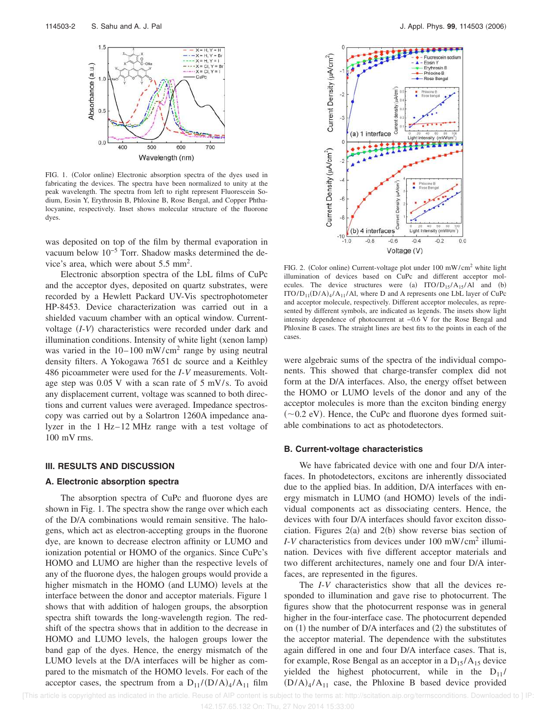

FIG. 1. (Color online) Electronic absorption spectra of the dyes used in fabricating the devices. The spectra have been normalized to unity at the peak wavelength. The spectra from left to right represent Fluorescein Sodium, Eosin Y, Erythrosin B, Phloxine B, Rose Bengal, and Copper Phthalocyanine, respectively. Inset shows molecular structure of the fluorone dyes.

was deposited on top of the film by thermal evaporation in vacuum below 10−5 Torr. Shadow masks determined the device's area, which were about 5.5 mm<sup>2</sup>.

Electronic absorption spectra of the LbL films of CuPc and the acceptor dyes, deposited on quartz substrates, were recorded by a Hewlett Packard UV-Vis spectrophotometer HP-8453. Device characterization was carried out in a shielded vacuum chamber with an optical window. Currentvoltage (I-V) characteristics were recorded under dark and illumination conditions. Intensity of white light (xenon lamp) was varied in the  $10-100$  mW/cm<sup>2</sup> range by using neutral density filters. A Yokogawa 7651 dc source and a Keithley 486 picoammeter were used for the *I*-*V* measurements. Voltage step was 0.05 V with a scan rate of 5 mV/s. To avoid any displacement current, voltage was scanned to both directions and current values were averaged. Impedance spectroscopy was carried out by a Solartron 1260A impedance analyzer in the 1 Hz–12 MHz range with a test voltage of 100 mV rms.

#### **III. RESULTS AND DISCUSSION**

#### **A. Electronic absorption spectra**

The absorption spectra of CuPc and fluorone dyes are shown in Fig. 1. The spectra show the range over which each of the D/A combinations would remain sensitive. The halogens, which act as electron-accepting groups in the fluorone dye, are known to decrease electron affinity or LUMO and ionization potential or HOMO of the organics. Since CuPc's HOMO and LUMO are higher than the respective levels of any of the fluorone dyes, the halogen groups would provide a higher mismatch in the HOMO (and LUMO) levels at the interface between the donor and acceptor materials. Figure 1 shows that with addition of halogen groups, the absorption spectra shift towards the long-wavelength region. The redshift of the spectra shows that in addition to the decrease in HOMO and LUMO levels, the halogen groups lower the band gap of the dyes. Hence, the energy mismatch of the LUMO levels at the D/A interfaces will be higher as compared to the mismatch of the HOMO levels. For each of the acceptor cases, the spectrum from a  $D_{11}/(D/A)_4/A_{11}$  film



FIG. 2. (Color online) Current-voltage plot under 100 mW/cm<sup>2</sup> white light illumination of devices based on CuPc and different acceptor molecules. The device structures were (a)  $ITO/D_{15}/A_{15}/Al$  and (b)  $ITO/D_{11}(D/A)_{4}/A_{11}/Al$ , where D and A represents one LbL layer of CuPc and acceptor molecule, respectively. Different acceptor molecules, as represented by different symbols, are indicated as legends. The insets show light intensity dependence of photocurrent at −0.6 V for the Rose Bengal and Phloxine B cases. The straight lines are best fits to the points in each of the cases.

were algebraic sums of the spectra of the individual components. This showed that charge-transfer complex did not form at the D/A interfaces. Also, the energy offset between the HOMO or LUMO levels of the donor and any of the acceptor molecules is more than the exciton binding energy  $(-0.2$  eV). Hence, the CuPc and fluorone dyes formed suitable combinations to act as photodetectors.

#### **B. Current-voltage characteristics**

We have fabricated device with one and four D/A interfaces. In photodetectors, excitons are inherently dissociated due to the applied bias. In addition, D/A interfaces with energy mismatch in LUMO (and HOMO) levels of the individual components act as dissociating centers. Hence, the devices with four D/A interfaces should favor exciton dissociation. Figures  $2(a)$  and  $2(b)$  show reverse bias section of *I*-*V* characteristics from devices under 100 mW/cm<sup>2</sup> illumination. Devices with five different acceptor materials and two different architectures, namely one and four D/A interfaces, are represented in the figures.

The *I*-*V* characteristics show that all the devices responded to illumination and gave rise to photocurrent. The figures show that the photocurrent response was in general higher in the four-interface case. The photocurrent depended on  $(1)$  the number of D/A interfaces and  $(2)$  the substitutes of the acceptor material. The dependence with the substitutes again differed in one and four D/A interface cases. That is, for example, Rose Bengal as an acceptor in a  $D_{15}/A_{15}$  device yielded the highest photocurrent, while in the  $D_{11}$ /  $(D/A)<sub>4</sub>/A<sub>11</sub>$  case, the Phloxine B based device provided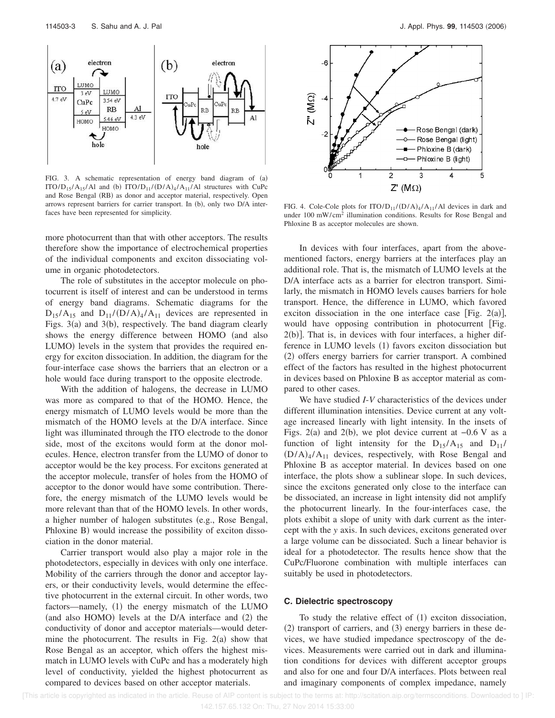

FIG. 3. A schematic representation of energy band diagram of (a) ITO/ $D_{15}/A_{15}/A1$  and (b) ITO/ $D_{11}/(D/A)_4/A_{11}/A1$  structures with CuPc and Rose Bengal (RB) as donor and acceptor material, respectively. Open arrows represent barriers for carrier transport. In (b), only two D/A interfaces have been represented for simplicity.

more photocurrent than that with other acceptors. The results therefore show the importance of electrochemical properties of the individual components and exciton dissociating volume in organic photodetectors.

The role of substitutes in the acceptor molecule on photocurrent is itself of interest and can be understood in terms of energy band diagrams. Schematic diagrams for the  $D_{15}/A_{15}$  and  $D_{11}/(D/A)_{4}/A_{11}$  devices are represented in Figs.  $3(a)$  and  $3(b)$ , respectively. The band diagram clearly shows the energy difference between HOMO (and also LUMO) levels in the system that provides the required energy for exciton dissociation. In addition, the diagram for the four-interface case shows the barriers that an electron or a hole would face during transport to the opposite electrode.

With the addition of halogens, the decrease in LUMO was more as compared to that of the HOMO. Hence, the energy mismatch of LUMO levels would be more than the mismatch of the HOMO levels at the D/A interface. Since light was illuminated through the ITO electrode to the donor side, most of the excitons would form at the donor molecules. Hence, electron transfer from the LUMO of donor to acceptor would be the key process. For excitons generated at the acceptor molecule, transfer of holes from the HOMO of acceptor to the donor would have some contribution. Therefore, the energy mismatch of the LUMO levels would be more relevant than that of the HOMO levels. In other words, a higher number of halogen substitutes (e.g., Rose Bengal, Phloxine B) would increase the possibility of exciton dissociation in the donor material.

Carrier transport would also play a major role in the photodetectors, especially in devices with only one interface. Mobility of the carriers through the donor and acceptor layers, or their conductivity levels, would determine the effective photocurrent in the external circuit. In other words, two factors—namely, (1) the energy mismatch of the LUMO (and also HOMO) levels at the D/A interface and (2) the conductivity of donor and acceptor materials—would determine the photocurrent. The results in Fig.  $2(a)$  show that Rose Bengal as an acceptor, which offers the highest mismatch in LUMO levels with CuPc and has a moderately high level of conductivity, yielded the highest photocurrent as compared to devices based on other acceptor materials.



FIG. 4. Cole-Cole plots for  $ITO/D_{11}/(D/A)_{4}/A_{11}/Al$  devices in dark and under 100 mW/cm<sup>2</sup> illumination conditions. Results for Rose Bengal and Phloxine B as acceptor molecules are shown.

In devices with four interfaces, apart from the abovementioned factors, energy barriers at the interfaces play an additional role. That is, the mismatch of LUMO levels at the D/A interface acts as a barrier for electron transport. Similarly, the mismatch in HOMO levels causes barriers for hole transport. Hence, the difference in LUMO, which favored exciton dissociation in the one interface case [Fig. 2(a)], would have opposing contribution in photocurrent [Fig.  $2(b)$ ]. That is, in devices with four interfaces, a higher difference in LUMO levels (1) favors exciton dissociation but (2) offers energy barriers for carrier transport. A combined effect of the factors has resulted in the highest photocurrent in devices based on Phloxine B as acceptor material as compared to other cases.

We have studied *I*-*V* characteristics of the devices under different illumination intensities. Device current at any voltage increased linearly with light intensity. In the insets of Figs. 2(a) and 2(b), we plot device current at  $-0.6$  V as a function of light intensity for the  $D_{15}/A_{15}$  and  $D_{11}/A_{15}$  $(D/A)<sub>4</sub>/A<sub>11</sub>$  devices, respectively, with Rose Bengal and Phloxine B as acceptor material. In devices based on one interface, the plots show a sublinear slope. In such devices, since the excitons generated only close to the interface can be dissociated, an increase in light intensity did not amplify the photocurrent linearly. In the four-interfaces case, the plots exhibit a slope of unity with dark current as the intercept with the *y* axis. In such devices, excitons generated over a large volume can be dissociated. Such a linear behavior is ideal for a photodetector. The results hence show that the CuPc/Fluorone combination with multiple interfaces can suitably be used in photodetectors.

#### **C. Dielectric spectroscopy**

To study the relative effect of (1) exciton dissociation, (2) transport of carriers, and (3) energy barriers in these devices, we have studied impedance spectroscopy of the devices. Measurements were carried out in dark and illumination conditions for devices with different acceptor groups and also for one and four D/A interfaces. Plots between real and imaginary components of complex impedance, namely